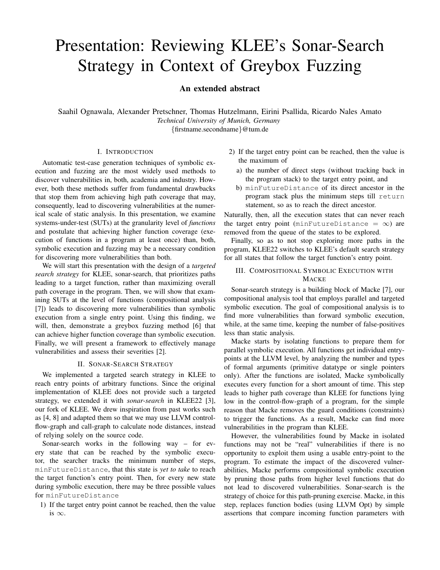# Presentation: Reviewing KLEE's Sonar-Search Strategy in Context of Greybox Fuzzing

## An extended abstract

Saahil Ognawala, Alexander Pretschner, Thomas Hutzelmann, Eirini Psallida, Ricardo Nales Amato *Technical University of Munich, Germany* {firstname.secondname}@tum.de

## I. INTRODUCTION

Automatic test-case generation techniques of symbolic execution and fuzzing are the most widely used methods to discover vulnerabilities in, both, academia and industry. However, both these methods suffer from fundamental drawbacks that stop them from achieving high path coverage that may, consequently, lead to discovering vulnerabilities at the numerical scale of static analysis. In this presentation, we examine systems-under-test (SUTs) at the granularity level of *functions* and postulate that achieving higher function coverage (execution of functions in a program at least once) than, both, symbolic execution and fuzzing may be a necessary condition for discovering more vulnerabilities than both.

We will start this presentation with the design of a *targeted search strategy* for KLEE, sonar-search, that prioritizes paths leading to a target function, rather than maximizing overall path coverage in the program. Then, we will show that examining SUTs at the level of functions (compositional analysis [\[7\]](#page-1-0)) leads to discovering more vulnerabilities than symbolic execution from a single entry point. Using this finding, we will, then, demonstrate a greybox fuzzing method [\[6\]](#page-1-1) that can achieve higher function coverage than symbolic execution. Finally, we will present a framework to effectively manage vulnerabilities and assess their severities [\[2\]](#page-1-2).

#### II. SONAR-SEARCH STRATEGY

We implemented a targeted search strategy in KLEE to reach entry points of arbitrary functions. Since the original implementation of KLEE does not provide such a targeted strategy, we extended it with *sonar-search* in KLEE22 [\[3\]](#page-1-3), our fork of KLEE. We drew inspiration from past works such as [\[4,](#page-1-4) [8\]](#page-1-5) and adapted them so that we may use LLVM controlflow-graph and call-graph to calculate node distances, instead of relying solely on the source code.

Sonar-search works in the following way – for every state that can be reached by the symbolic executor, the searcher tracks the minimum number of steps, minFutureDistance, that this state is *yet to take* to reach the target function's entry point. Then, for every new state during symbolic execution, there may be three possible values for minFutureDistance

1) If the target entry point cannot be reached, then the value is  $\infty$ .

- 2) If the target entry point can be reached, then the value is the maximum of
	- a) the number of direct steps (without tracking back in the program stack) to the target entry point, and
	- b) minFutureDistance of its direct ancestor in the program stack plus the minimum steps till return statement, so as to reach the direct ancestor.

Naturally, then, all the execution states that can never reach the target entry point (minFutureDistance =  $\infty$ ) are removed from the queue of the states to be explored.

Finally, so as to not stop exploring more paths in the program, KLEE22 switches to KLEE's default search strategy for all states that follow the target function's entry point.

## III. COMPOSITIONAL SYMBOLIC EXECUTION WITH **MACKE**

Sonar-search strategy is a building block of Macke [\[7\]](#page-1-0), our compositional analysis tool that employs parallel and targeted symbolic execution. The goal of compositional analysis is to find more vulnerabilities than forward symbolic execution, while, at the same time, keeping the number of false-positives less than static analysis.

Macke starts by isolating functions to prepare them for parallel symbolic execution. All functions get individual entrypoints at the LLVM level, by analyzing the number and types of formal arguments (primitive datatype or single pointers only). After the functions are isolated, Macke symbolically executes every function for a short amount of time. This step leads to higher path coverage than KLEE for functions lying low in the control-flow-graph of a program, for the simple reason that Macke removes the guard conditions (constraints) to trigger the functions. As a result, Macke can find more vulnerabilities in the program than KLEE.

However, the vulnerabilities found by Macke in isolated functions may not be "real" vulnerabilities if there is no opportunity to exploit them using a usable entry-point to the program. To estimate the impact of the discovered vulnerabilities, Macke performs compositional symbolic execution by pruning those paths from higher level functions that do not lead to discovered vulnerabilities. Sonar-search is the strategy of choice for this path-pruning exercise. Macke, in this step, replaces function bodies (using LLVM Opt) by simple assertions that compare incoming function parameters with